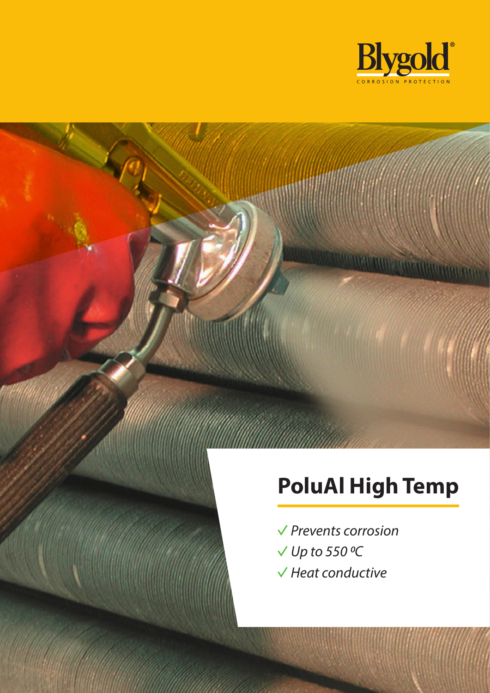

*<u>UITVALUME</u>* 

# **PoluAl High Temp**

- *Prevents corrosion*
- *Up to 550 0C*
- *Heat conductive*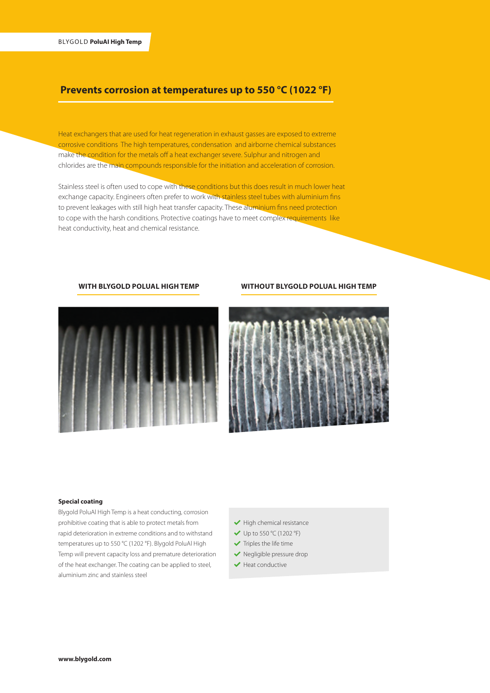# **Prevents corrosion at temperatures up to 550 °C (1022 °F)**

Heat exchangers that are used for heat regeneration in exhaust gasses are exposed to extreme corrosive conditions The high temperatures, condensation and airborne chemical substances make the condition for the metals off a heat exchanger severe. Sulphur and nitrogen and chlorides are the main compounds responsible for the initiation and acceleration of corrosion.

Stainless steel is often used to cope with these conditions but this does result in much lower heat exchange capacity. Engineers often prefer to work with stainless steel tubes with aluminium fins to prevent leakages with still high heat transfer capacity. These aluminium fins need protection to cope with the harsh conditions. Protective coatings have to meet complex requirements like heat conductivity, heat and chemical resistance.



#### **WITH BLYGOLD POLUAL HIGH TEMP WITHOUT BLYGOLD POLUAL HIGH TEMP**



#### **Special coating**

Blygold PoluAl High Temp is a heat conducting, corrosion prohibitive coating that is able to protect metals from rapid deterioration in extreme conditions and to withstand temperatures up to 550 °C (1202 °F). Blygold PoluAl High Temp will prevent capacity loss and premature deterioration of the heat exchanger. The coating can be applied to steel, aluminium zinc and stainless steel

- $\blacktriangleright$  High chemical resistance
- $\vee$  Up to 550 °C (1202 °F)
- $\blacktriangleright$  Triples the life time
- Negligible pressure drop
- $\blacktriangleright$  Heat conductive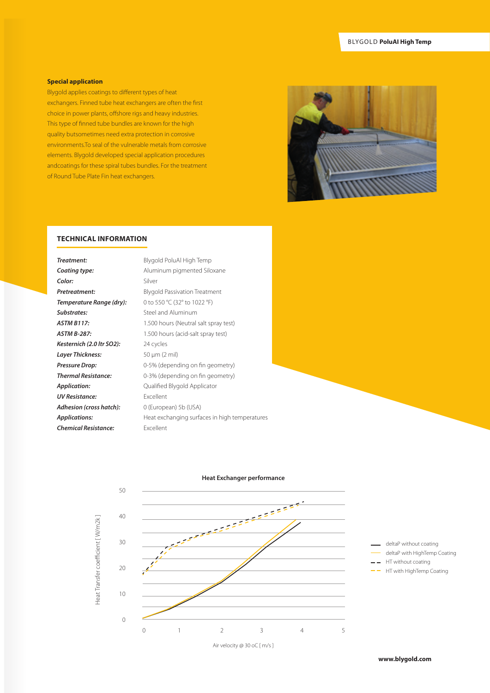## **Special application**

Blygold applies coatings to different types of heat exchangers. Finned tube heat exchangers are often the first choice in power plants, offshore rigs and heavy industries. This type of finned tube bundles are known for the high quality butsometimes need extra protection in corrosive environments.To seal of the vulnerable metals from corrosive elements. Blygold developed special application procedures andcoatings for these spiral tubes bundles. For the treatment of Round Tube Plate Fin heat exchangers.



## **TECHNICAL INFORMATION**

| Treatment:                  | Blygold PoluAl High Temp                      |
|-----------------------------|-----------------------------------------------|
| Coating type:               | Aluminum pigmented Siloxane                   |
| Color:                      | Silver                                        |
| Pretreatment:               | <b>Blygold Passivation Treatment</b>          |
| Temperature Range (dry):    | 0 to 550 °C (32° to 1022 °F)                  |
| Substrates:                 | Steel and Aluminum                            |
| <b>ASTM B117:</b>           | 1.500 hours (Neutral salt spray test)         |
| <b>ASTM B-287:</b>          | 1.500 hours (acid-salt spray test)            |
| Kesternich (2.0 ltr SO2):   | 24 cycles                                     |
| Layer Thickness:            | $50 \mu m$ (2 mil)                            |
| Pressure Drop:              | 0-5% (depending on fin geometry)              |
| <b>Thermal Resistance:</b>  | 0-3% (depending on fin geometry)              |
| <b>Application:</b>         | Qualified Blygold Applicator                  |
| <b>UV Resistance:</b>       | <b>Excellent</b>                              |
| Adhesion (cross hatch):     | 0 (European) 5b (USA)                         |
| <b>Applications:</b>        | Heat exchanging surfaces in high temperatures |
| <b>Chemical Resistance:</b> | Excellent                                     |
|                             |                                               |



#### **Heat Exchanger performance**



 $-$  HT without coating

HT with HighTemp Coating $\equiv$   $\equiv$ 

**www.blygold.com**